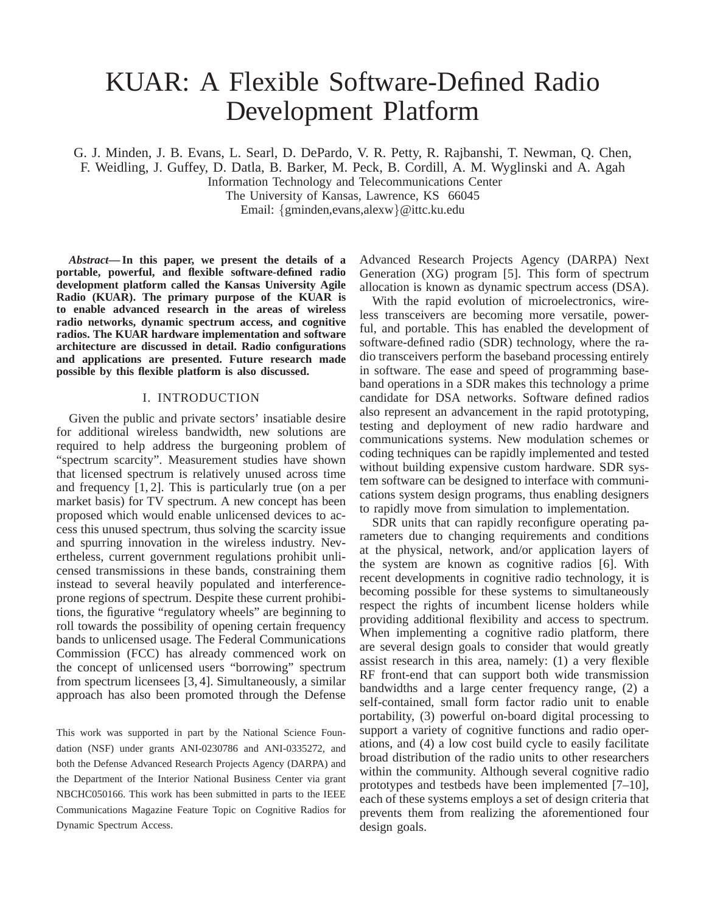# KUAR: A Flexible Software-Defined Radio Development Platform

G. J. Minden, J. B. Evans, L. Searl, D. DePardo, V. R. Petty, R. Rajbanshi, T. Newman, Q. Chen,

F. Weidling, J. Guffey, D. Datla, B. Barker, M. Peck, B. Cordill, A. M. Wyglinski and A. Agah

Information Technology and Telecommunications Center

The University of Kansas, Lawrence, KS 66045

Email: *{*gminden,evans,alexw*}*@ittc.ku.edu

*Abstract***— In this paper, we present the details of a portable, powerful, and flexible software-defined radio development platform called the Kansas University Agile Radio (KUAR). The primary purpose of the KUAR is to enable advanced research in the areas of wireless radio networks, dynamic spectrum access, and cognitive radios. The KUAR hardware implementation and software architecture are discussed in detail. Radio configurations and applications are presented. Future research made possible by this flexible platform is also discussed.**

## I. INTRODUCTION

Given the public and private sectors' insatiable desire for additional wireless bandwidth, new solutions are required to help address the burgeoning problem of "spectrum scarcity". Measurement studies have shown that licensed spectrum is relatively unused across time and frequency [1, 2]. This is particularly true (on a per market basis) for TV spectrum. A new concept has been proposed which would enable unlicensed devices to access this unused spectrum, thus solving the scarcity issue and spurring innovation in the wireless industry. Nevertheless, current government regulations prohibit unlicensed transmissions in these bands, constraining them instead to several heavily populated and interferenceprone regions of spectrum. Despite these current prohibitions, the figurative "regulatory wheels" are beginning to roll towards the possibility of opening certain frequency bands to unlicensed usage. The Federal Communications Commission (FCC) has already commenced work on the concept of unlicensed users "borrowing" spectrum from spectrum licensees [3, 4]. Simultaneously, a similar approach has also been promoted through the Defense

This work was supported in part by the National Science Foundation (NSF) under grants ANI-0230786 and ANI-0335272, and both the Defense Advanced Research Projects Agency (DARPA) and the Department of the Interior National Business Center via grant NBCHC050166. This work has been submitted in parts to the IEEE Communications Magazine Feature Topic on Cognitive Radios for Dynamic Spectrum Access.

Advanced Research Projects Agency (DARPA) Next Generation (XG) program [5]. This form of spectrum allocation is known as dynamic spectrum access (DSA).

With the rapid evolution of microelectronics, wireless transceivers are becoming more versatile, powerful, and portable. This has enabled the development of software-defined radio (SDR) technology, where the radio transceivers perform the baseband processing entirely in software. The ease and speed of programming baseband operations in a SDR makes this technology a prime candidate for DSA networks. Software defined radios also represent an advancement in the rapid prototyping, testing and deployment of new radio hardware and communications systems. New modulation schemes or coding techniques can be rapidly implemented and tested without building expensive custom hardware. SDR system software can be designed to interface with communications system design programs, thus enabling designers to rapidly move from simulation to implementation.

SDR units that can rapidly reconfigure operating parameters due to changing requirements and conditions at the physical, network, and/or application layers of the system are known as cognitive radios [6]. With recent developments in cognitive radio technology, it is becoming possible for these systems to simultaneously respect the rights of incumbent license holders while providing additional flexibility and access to spectrum. When implementing a cognitive radio platform, there are several design goals to consider that would greatly assist research in this area, namely: (1) a very flexible RF front-end that can support both wide transmission bandwidths and a large center frequency range, (2) a self-contained, small form factor radio unit to enable portability, (3) powerful on-board digital processing to support a variety of cognitive functions and radio operations, and (4) a low cost build cycle to easily facilitate broad distribution of the radio units to other researchers within the community. Although several cognitive radio prototypes and testbeds have been implemented [7–10], each of these systems employs a set of design criteria that prevents them from realizing the aforementioned four design goals.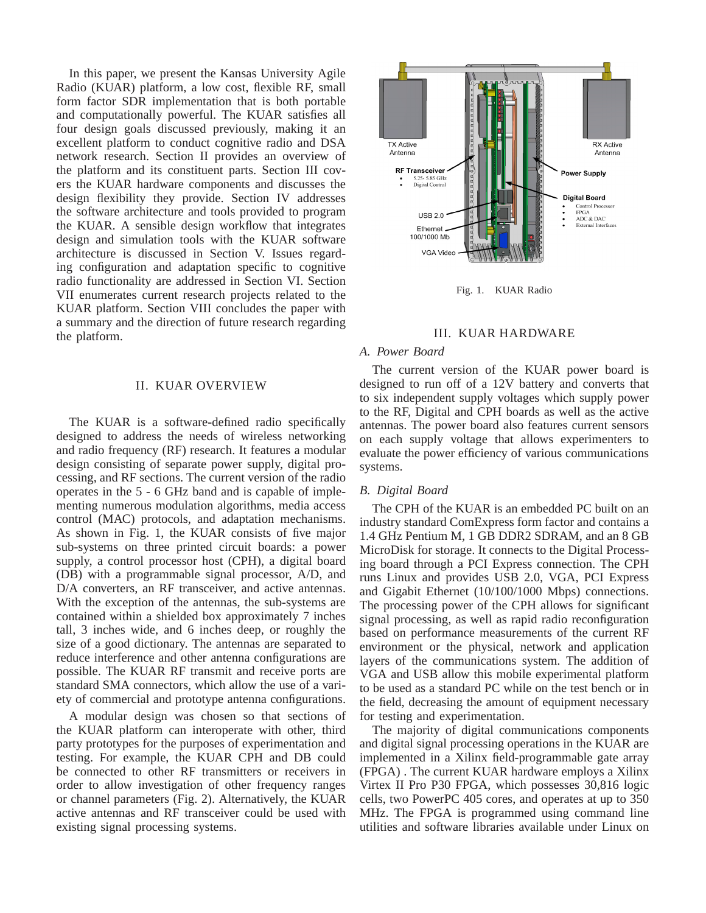In this paper, we present the Kansas University Agile Radio (KUAR) platform, a low cost, flexible RF, small form factor SDR implementation that is both portable and computationally powerful. The KUAR satisfies all four design goals discussed previously, making it an excellent platform to conduct cognitive radio and DSA network research. Section II provides an overview of the platform and its constituent parts. Section III covers the KUAR hardware components and discusses the design flexibility they provide. Section IV addresses the software architecture and tools provided to program the KUAR. A sensible design workflow that integrates design and simulation tools with the KUAR software architecture is discussed in Section V. Issues regarding configuration and adaptation specific to cognitive radio functionality are addressed in Section VI. Section VII enumerates current research projects related to the KUAR platform. Section VIII concludes the paper with a summary and the direction of future research regarding the platform.

#### II. KUAR OVERVIEW

The KUAR is a software-defined radio specifically designed to address the needs of wireless networking and radio frequency (RF) research. It features a modular design consisting of separate power supply, digital processing, and RF sections. The current version of the radio operates in the 5 - 6 GHz band and is capable of implementing numerous modulation algorithms, media access control (MAC) protocols, and adaptation mechanisms. As shown in Fig. 1, the KUAR consists of five major sub-systems on three printed circuit boards: a power supply, a control processor host (CPH), a digital board (DB) with a programmable signal processor, A/D, and D/A converters, an RF transceiver, and active antennas. With the exception of the antennas, the sub-systems are contained within a shielded box approximately 7 inches tall, 3 inches wide, and 6 inches deep, or roughly the size of a good dictionary. The antennas are separated to reduce interference and other antenna configurations are possible. The KUAR RF transmit and receive ports are standard SMA connectors, which allow the use of a variety of commercial and prototype antenna configurations.

A modular design was chosen so that sections of the KUAR platform can interoperate with other, third party prototypes for the purposes of experimentation and testing. For example, the KUAR CPH and DB could be connected to other RF transmitters or receivers in order to allow investigation of other frequency ranges or channel parameters (Fig. 2). Alternatively, the KUAR active antennas and RF transceiver could be used with existing signal processing systems.



Fig. 1. KUAR Radio

## III. KUAR HARDWARE

## *A. Power Board*

The current version of the KUAR power board is designed to run off of a 12V battery and converts that to six independent supply voltages which supply power to the RF, Digital and CPH boards as well as the active antennas. The power board also features current sensors on each supply voltage that allows experimenters to evaluate the power efficiency of various communications systems.

## *B. Digital Board*

The CPH of the KUAR is an embedded PC built on an industry standard ComExpress form factor and contains a 1.4 GHz Pentium M, 1 GB DDR2 SDRAM, and an 8 GB MicroDisk for storage. It connects to the Digital Processing board through a PCI Express connection. The CPH runs Linux and provides USB 2.0, VGA, PCI Express and Gigabit Ethernet (10/100/1000 Mbps) connections. The processing power of the CPH allows for significant signal processing, as well as rapid radio reconfiguration based on performance measurements of the current RF environment or the physical, network and application layers of the communications system. The addition of VGA and USB allow this mobile experimental platform to be used as a standard PC while on the test bench or in the field, decreasing the amount of equipment necessary for testing and experimentation.

The majority of digital communications components and digital signal processing operations in the KUAR are implemented in a Xilinx field-programmable gate array (FPGA) . The current KUAR hardware employs a Xilinx Virtex II Pro P30 FPGA, which possesses 30,816 logic cells, two PowerPC 405 cores, and operates at up to 350 MHz. The FPGA is programmed using command line utilities and software libraries available under Linux on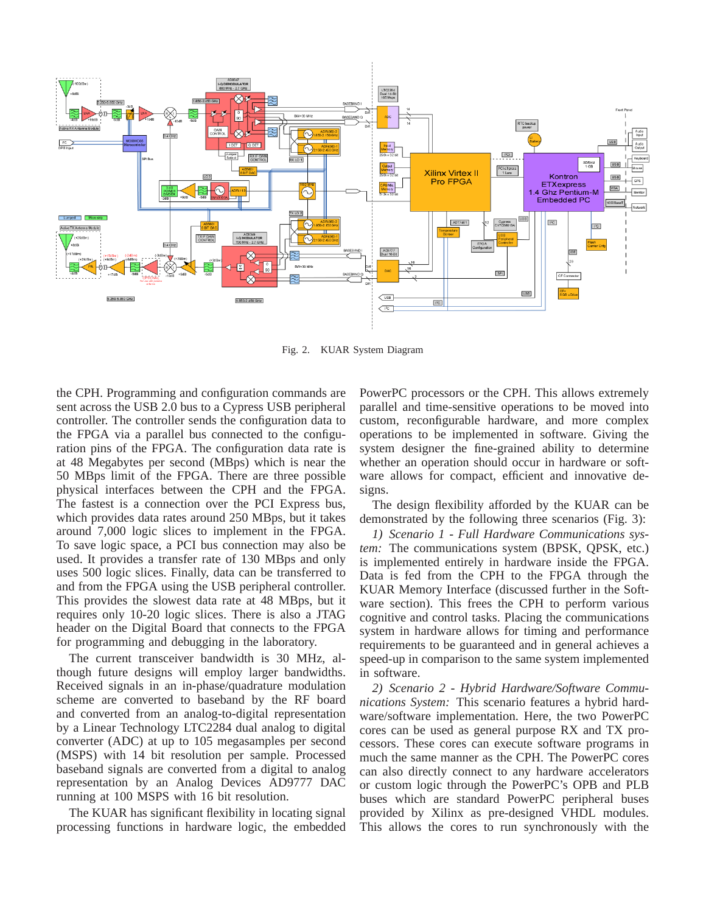

Fig. 2. KUAR System Diagram

the CPH. Programming and configuration commands are sent across the USB 2.0 bus to a Cypress USB peripheral controller. The controller sends the configuration data to the FPGA via a parallel bus connected to the configuration pins of the FPGA. The configuration data rate is at 48 Megabytes per second (MBps) which is near the 50 MBps limit of the FPGA. There are three possible physical interfaces between the CPH and the FPGA. The fastest is a connection over the PCI Express bus, which provides data rates around 250 MBps, but it takes around 7,000 logic slices to implement in the FPGA. To save logic space, a PCI bus connection may also be used. It provides a transfer rate of 130 MBps and only uses 500 logic slices. Finally, data can be transferred to and from the FPGA using the USB peripheral controller. This provides the slowest data rate at 48 MBps, but it requires only 10-20 logic slices. There is also a JTAG header on the Digital Board that connects to the FPGA for programming and debugging in the laboratory.

The current transceiver bandwidth is 30 MHz, although future designs will employ larger bandwidths. Received signals in an in-phase/quadrature modulation scheme are converted to baseband by the RF board and converted from an analog-to-digital representation by a Linear Technology LTC2284 dual analog to digital converter (ADC) at up to 105 megasamples per second (MSPS) with 14 bit resolution per sample. Processed baseband signals are converted from a digital to analog representation by an Analog Devices AD9777 DAC running at 100 MSPS with 16 bit resolution.

The KUAR has significant flexibility in locating signal processing functions in hardware logic, the embedded PowerPC processors or the CPH. This allows extremely parallel and time-sensitive operations to be moved into custom, reconfigurable hardware, and more complex operations to be implemented in software. Giving the system designer the fine-grained ability to determine whether an operation should occur in hardware or software allows for compact, efficient and innovative designs.

The design flexibility afforded by the KUAR can be demonstrated by the following three scenarios (Fig. 3):

*1) Scenario 1 - Full Hardware Communications system:* The communications system (BPSK, QPSK, etc.) is implemented entirely in hardware inside the FPGA. Data is fed from the CPH to the FPGA through the KUAR Memory Interface (discussed further in the Software section). This frees the CPH to perform various cognitive and control tasks. Placing the communications system in hardware allows for timing and performance requirements to be guaranteed and in general achieves a speed-up in comparison to the same system implemented in software.

*2) Scenario 2 - Hybrid Hardware/Software Communications System:* This scenario features a hybrid hardware/software implementation. Here, the two PowerPC cores can be used as general purpose RX and TX processors. These cores can execute software programs in much the same manner as the CPH. The PowerPC cores can also directly connect to any hardware accelerators or custom logic through the PowerPC's OPB and PLB buses which are standard PowerPC peripheral buses provided by Xilinx as pre-designed VHDL modules. This allows the cores to run synchronously with the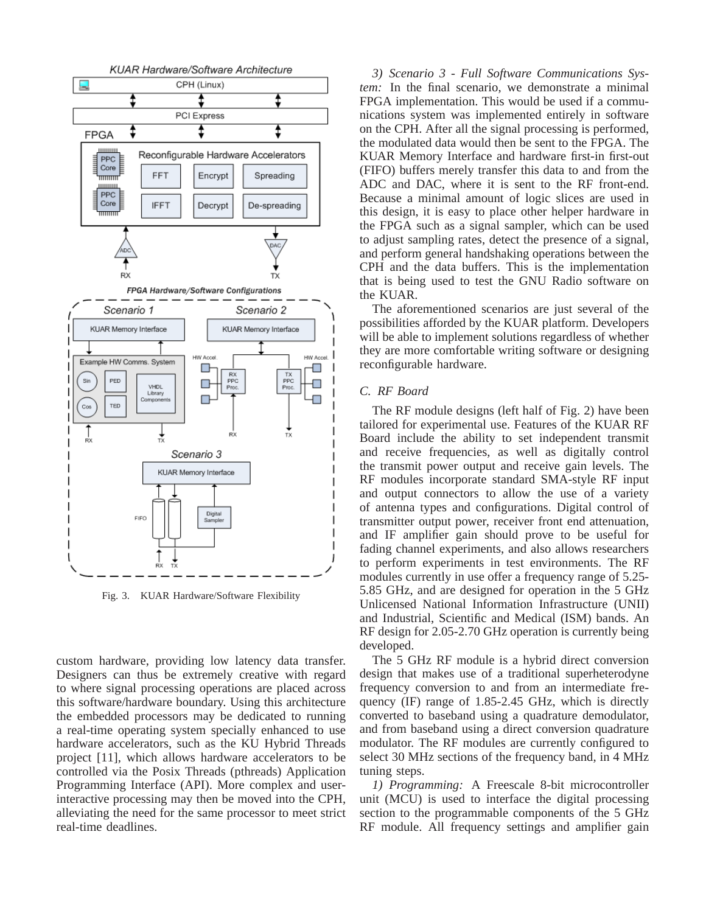

Fig. 3. KUAR Hardware/Software Flexibility

custom hardware, providing low latency data transfer. Designers can thus be extremely creative with regard to where signal processing operations are placed across this software/hardware boundary. Using this architecture the embedded processors may be dedicated to running a real-time operating system specially enhanced to use hardware accelerators, such as the KU Hybrid Threads project [11], which allows hardware accelerators to be controlled via the Posix Threads (pthreads) Application Programming Interface (API). More complex and userinteractive processing may then be moved into the CPH, alleviating the need for the same processor to meet strict real-time deadlines.

*3) Scenario 3 - Full Software Communications System:* In the final scenario, we demonstrate a minimal FPGA implementation. This would be used if a communications system was implemented entirely in software on the CPH. After all the signal processing is performed, the modulated data would then be sent to the FPGA. The KUAR Memory Interface and hardware first-in first-out (FIFO) buffers merely transfer this data to and from the ADC and DAC, where it is sent to the RF front-end. Because a minimal amount of logic slices are used in this design, it is easy to place other helper hardware in the FPGA such as a signal sampler, which can be used to adjust sampling rates, detect the presence of a signal, and perform general handshaking operations between the CPH and the data buffers. This is the implementation that is being used to test the GNU Radio software on the KUAR.

The aforementioned scenarios are just several of the possibilities afforded by the KUAR platform. Developers will be able to implement solutions regardless of whether they are more comfortable writing software or designing reconfigurable hardware.

## *C. RF Board*

The RF module designs (left half of Fig. 2) have been tailored for experimental use. Features of the KUAR RF Board include the ability to set independent transmit and receive frequencies, as well as digitally control the transmit power output and receive gain levels. The RF modules incorporate standard SMA-style RF input and output connectors to allow the use of a variety of antenna types and configurations. Digital control of transmitter output power, receiver front end attenuation, and IF amplifier gain should prove to be useful for fading channel experiments, and also allows researchers to perform experiments in test environments. The RF modules currently in use offer a frequency range of 5.25- 5.85 GHz, and are designed for operation in the 5 GHz Unlicensed National Information Infrastructure (UNII) and Industrial, Scientific and Medical (ISM) bands. An RF design for 2.05-2.70 GHz operation is currently being developed.

The 5 GHz RF module is a hybrid direct conversion design that makes use of a traditional superheterodyne frequency conversion to and from an intermediate frequency (IF) range of 1.85-2.45 GHz, which is directly converted to baseband using a quadrature demodulator, and from baseband using a direct conversion quadrature modulator. The RF modules are currently configured to select 30 MHz sections of the frequency band, in 4 MHz tuning steps.

*1) Programming:* A Freescale 8-bit microcontroller unit (MCU) is used to interface the digital processing section to the programmable components of the 5 GHz RF module. All frequency settings and amplifier gain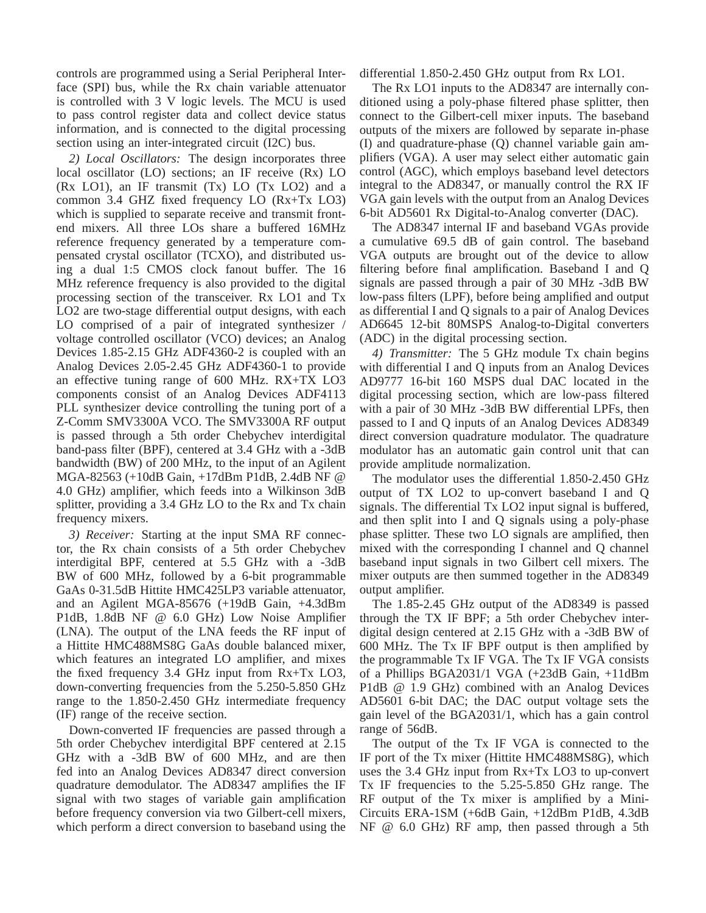controls are programmed using a Serial Peripheral Interface (SPI) bus, while the Rx chain variable attenuator is controlled with 3 V logic levels. The MCU is used to pass control register data and collect device status information, and is connected to the digital processing section using an inter-integrated circuit (I2C) bus.

*2) Local Oscillators:* The design incorporates three local oscillator (LO) sections; an IF receive (Rx) LO (Rx LO1), an IF transmit (Tx) LO (Tx LO2) and a common 3.4 GHZ fixed frequency LO (Rx+Tx LO3) which is supplied to separate receive and transmit frontend mixers. All three LOs share a buffered 16MHz reference frequency generated by a temperature compensated crystal oscillator (TCXO), and distributed using a dual 1:5 CMOS clock fanout buffer. The 16 MHz reference frequency is also provided to the digital processing section of the transceiver. Rx LO1 and Tx LO2 are two-stage differential output designs, with each LO comprised of a pair of integrated synthesizer / voltage controlled oscillator (VCO) devices; an Analog Devices 1.85-2.15 GHz ADF4360-2 is coupled with an Analog Devices 2.05-2.45 GHz ADF4360-1 to provide an effective tuning range of 600 MHz. RX+TX LO3 components consist of an Analog Devices ADF4113 PLL synthesizer device controlling the tuning port of a Z-Comm SMV3300A VCO. The SMV3300A RF output is passed through a 5th order Chebychev interdigital band-pass filter (BPF), centered at 3.4 GHz with a -3dB bandwidth (BW) of 200 MHz, to the input of an Agilent MGA-82563 (+10dB Gain, +17dBm P1dB, 2.4dB NF @ 4.0 GHz) amplifier, which feeds into a Wilkinson 3dB splitter, providing a 3.4 GHz LO to the Rx and Tx chain frequency mixers.

*3) Receiver:* Starting at the input SMA RF connector, the Rx chain consists of a 5th order Chebychev interdigital BPF, centered at 5.5 GHz with a -3dB BW of 600 MHz, followed by a 6-bit programmable GaAs 0-31.5dB Hittite HMC425LP3 variable attenuator, and an Agilent MGA-85676 (+19dB Gain, +4.3dBm P1dB, 1.8dB NF @ 6.0 GHz) Low Noise Amplifier (LNA). The output of the LNA feeds the RF input of a Hittite HMC488MS8G GaAs double balanced mixer, which features an integrated LO amplifier, and mixes the fixed frequency 3.4 GHz input from Rx+Tx LO3, down-converting frequencies from the 5.250-5.850 GHz range to the 1.850-2.450 GHz intermediate frequency (IF) range of the receive section.

Down-converted IF frequencies are passed through a 5th order Chebychev interdigital BPF centered at 2.15 GHz with a -3dB BW of 600 MHz, and are then fed into an Analog Devices AD8347 direct conversion quadrature demodulator. The AD8347 amplifies the IF signal with two stages of variable gain amplification before frequency conversion via two Gilbert-cell mixers, which perform a direct conversion to baseband using the differential 1.850-2.450 GHz output from Rx LO1.

The Rx LO1 inputs to the AD8347 are internally conditioned using a poly-phase filtered phase splitter, then connect to the Gilbert-cell mixer inputs. The baseband outputs of the mixers are followed by separate in-phase (I) and quadrature-phase (Q) channel variable gain amplifiers (VGA). A user may select either automatic gain control (AGC), which employs baseband level detectors integral to the AD8347, or manually control the RX IF VGA gain levels with the output from an Analog Devices 6-bit AD5601 Rx Digital-to-Analog converter (DAC).

The AD8347 internal IF and baseband VGAs provide a cumulative 69.5 dB of gain control. The baseband VGA outputs are brought out of the device to allow filtering before final amplification. Baseband I and Q signals are passed through a pair of 30 MHz -3dB BW low-pass filters (LPF), before being amplified and output as differential I and Q signals to a pair of Analog Devices AD6645 12-bit 80MSPS Analog-to-Digital converters (ADC) in the digital processing section.

*4) Transmitter:* The 5 GHz module Tx chain begins with differential I and Q inputs from an Analog Devices AD9777 16-bit 160 MSPS dual DAC located in the digital processing section, which are low-pass filtered with a pair of 30 MHz -3dB BW differential LPFs, then passed to I and Q inputs of an Analog Devices AD8349 direct conversion quadrature modulator. The quadrature modulator has an automatic gain control unit that can provide amplitude normalization.

The modulator uses the differential 1.850-2.450 GHz output of TX LO2 to up-convert baseband I and Q signals. The differential Tx LO2 input signal is buffered, and then split into I and Q signals using a poly-phase phase splitter. These two LO signals are amplified, then mixed with the corresponding I channel and Q channel baseband input signals in two Gilbert cell mixers. The mixer outputs are then summed together in the AD8349 output amplifier.

The 1.85-2.45 GHz output of the AD8349 is passed through the TX IF BPF; a 5th order Chebychev interdigital design centered at 2.15 GHz with a -3dB BW of 600 MHz. The Tx IF BPF output is then amplified by the programmable Tx IF VGA. The Tx IF VGA consists of a Phillips BGA2031/1 VGA (+23dB Gain, +11dBm P1dB @ 1.9 GHz) combined with an Analog Devices AD5601 6-bit DAC; the DAC output voltage sets the gain level of the BGA2031/1, which has a gain control range of 56dB.

The output of the Tx IF VGA is connected to the IF port of the Tx mixer (Hittite HMC488MS8G), which uses the 3.4 GHz input from Rx+Tx LO3 to up-convert Tx IF frequencies to the 5.25-5.850 GHz range. The RF output of the Tx mixer is amplified by a Mini-Circuits ERA-1SM (+6dB Gain, +12dBm P1dB, 4.3dB NF @ 6.0 GHz) RF amp, then passed through a 5th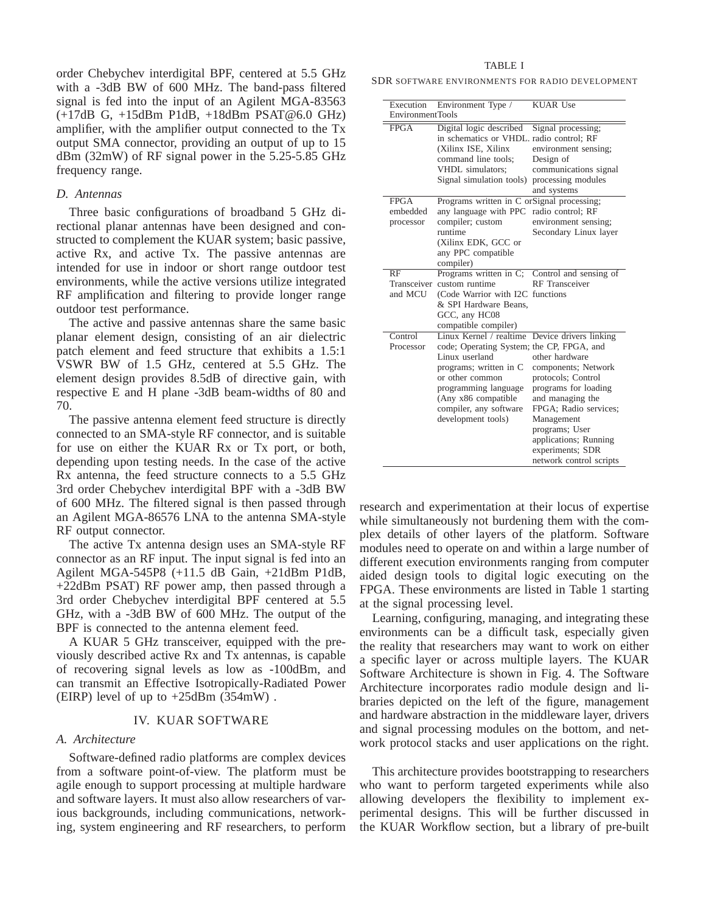order Chebychev interdigital BPF, centered at 5.5 GHz with a -3dB BW of 600 MHz. The band-pass filtered signal is fed into the input of an Agilent MGA-83563 (+17dB G, +15dBm P1dB, +18dBm PSAT@6.0 GHz) amplifier, with the amplifier output connected to the Tx output SMA connector, providing an output of up to 15 dBm (32mW) of RF signal power in the 5.25-5.85 GHz frequency range.

## *D. Antennas*

Three basic configurations of broadband 5 GHz directional planar antennas have been designed and constructed to complement the KUAR system; basic passive, active Rx, and active Tx. The passive antennas are intended for use in indoor or short range outdoor test environments, while the active versions utilize integrated RF amplification and filtering to provide longer range outdoor test performance.

The active and passive antennas share the same basic planar element design, consisting of an air dielectric patch element and feed structure that exhibits a 1.5:1 VSWR BW of 1.5 GHz, centered at 5.5 GHz. The element design provides 8.5dB of directive gain, with respective E and H plane -3dB beam-widths of 80 and 70.

The passive antenna element feed structure is directly connected to an SMA-style RF connector, and is suitable for use on either the KUAR Rx or Tx port, or both, depending upon testing needs. In the case of the active Rx antenna, the feed structure connects to a 5.5 GHz 3rd order Chebychev interdigital BPF with a -3dB BW of 600 MHz. The filtered signal is then passed through an Agilent MGA-86576 LNA to the antenna SMA-style RF output connector.

The active Tx antenna design uses an SMA-style RF connector as an RF input. The input signal is fed into an Agilent MGA-545P8 (+11.5 dB Gain, +21dBm P1dB, +22dBm PSAT) RF power amp, then passed through a 3rd order Chebychev interdigital BPF centered at 5.5 GHz, with a -3dB BW of 600 MHz. The output of the BPF is connected to the antenna element feed.

A KUAR 5 GHz transceiver, equipped with the previously described active Rx and Tx antennas, is capable of recovering signal levels as low as -100dBm, and can transmit an Effective Isotropically-Radiated Power (EIRP) level of up to +25dBm (354mW) .

#### IV. KUAR SOFTWARE

#### *A. Architecture*

Software-defined radio platforms are complex devices from a software point-of-view. The platform must be agile enough to support processing at multiple hardware and software layers. It must also allow researchers of various backgrounds, including communications, networking, system engineering and RF researchers, to perform

#### TABLE I

SDR SOFTWARE ENVIRONMENTS FOR RADIO DEVELOPMENT

| Execution<br><b>EnvironmentTools</b> | Environment Type /                                                                                                                                                                                                                 | <b>KUAR Use</b>                                                                                                                                                                                                                                                    |
|--------------------------------------|------------------------------------------------------------------------------------------------------------------------------------------------------------------------------------------------------------------------------------|--------------------------------------------------------------------------------------------------------------------------------------------------------------------------------------------------------------------------------------------------------------------|
| <b>FPGA</b>                          | Digital logic described<br>in schematics or VHDL. radio control; RF<br>(Xilinx ISE, Xilinx<br>command line tools:<br>VHDL simulators:<br>Signal simulation tools)                                                                  | Signal processing;<br>environment sensing;<br>Design of<br>communications signal<br>processing modules<br>and systems                                                                                                                                              |
| <b>FPGA</b><br>embedded<br>processor | Programs written in C or Signal processing;<br>any language with PPC<br>compiler; custom<br>runtime<br>(Xilinx EDK, GCC or<br>any PPC compatible<br>compiler)                                                                      | radio control; RF<br>environment sensing;<br>Secondary Linux layer                                                                                                                                                                                                 |
| RF<br>and MCU                        | Programs written in C;<br>Transceiver custom runtime<br>(Code Warrior with I2C functions)<br>& SPI Hardware Beans,<br>GCC, any HC08<br>compatible compiler)                                                                        | Control and sensing of<br><b>RF</b> Transceiver                                                                                                                                                                                                                    |
| Control<br>Processor                 | Linux Kernel / realtime<br>code; Operating System; the CP, FPGA, and<br>Linux userland<br>programs; written in C<br>or other common<br>programming language<br>(Any x86 compatible<br>compiler, any software<br>development tools) | Device drivers linking<br>other hardware<br>components; Network<br>protocols; Control<br>programs for loading<br>and managing the<br>FPGA; Radio services;<br>Management<br>programs; User<br>applications; Running<br>experiments; SDR<br>network control scripts |

research and experimentation at their locus of expertise while simultaneously not burdening them with the complex details of other layers of the platform. Software modules need to operate on and within a large number of different execution environments ranging from computer aided design tools to digital logic executing on the FPGA. These environments are listed in Table 1 starting at the signal processing level.

Learning, configuring, managing, and integrating these environments can be a difficult task, especially given the reality that researchers may want to work on either a specific layer or across multiple layers. The KUAR Software Architecture is shown in Fig. 4. The Software Architecture incorporates radio module design and libraries depicted on the left of the figure, management and hardware abstraction in the middleware layer, drivers and signal processing modules on the bottom, and network protocol stacks and user applications on the right.

This architecture provides bootstrapping to researchers who want to perform targeted experiments while also allowing developers the flexibility to implement experimental designs. This will be further discussed in the KUAR Workflow section, but a library of pre-built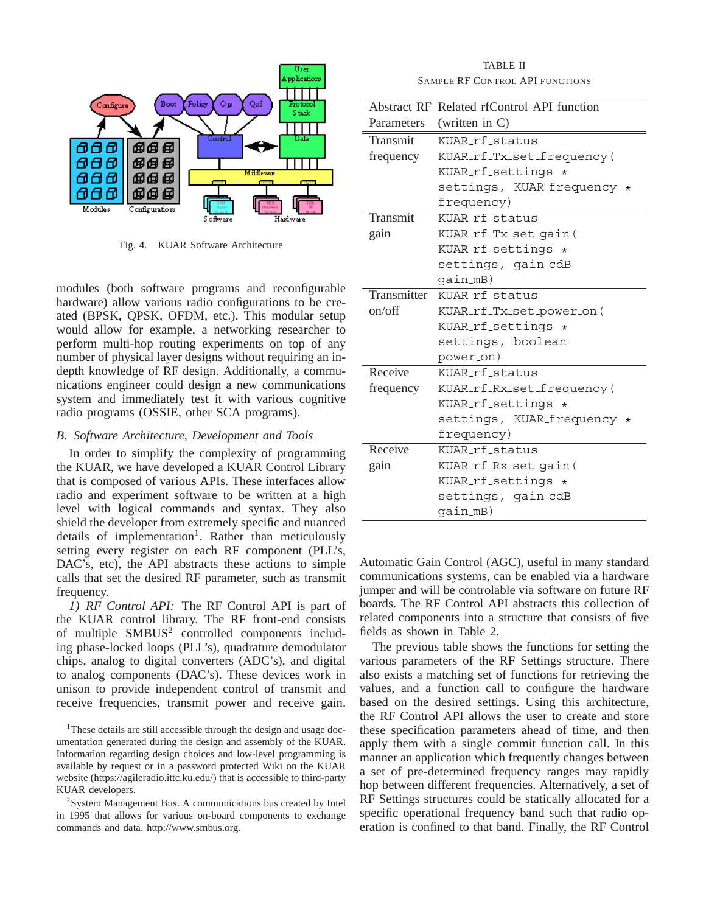

Fig. 4. KUAR Software Architecture

modules (both software programs and reconfigurable hardware) allow various radio configurations to be created (BPSK, QPSK, OFDM, etc.). This modular setup would allow for example, a networking researcher to perform multi-hop routing experiments on top of any number of physical layer designs without requiring an indepth knowledge of RF design. Additionally, a communications engineer could design a new communications system and immediately test it with various cognitive radio programs (OSSIE, other SCA programs).

## *B. Software Architecture, Development and Tools*

In order to simplify the complexity of programming the KUAR, we have developed a KUAR Control Library that is composed of various APIs. These interfaces allow radio and experiment software to be written at a high level with logical commands and syntax. They also shield the developer from extremely specific and nuanced details of implementation<sup>1</sup>. Rather than meticulously setting every register on each RF component (PLL's, DAC's, etc), the API abstracts these actions to simple calls that set the desired RF parameter, such as transmit frequency.

*1) RF Control API:* The RF Control API is part of the KUAR control library. The RF front-end consists of multiple  $SMBUS<sup>2</sup>$  controlled components including phase-locked loops (PLL's), quadrature demodulator chips, analog to digital converters (ADC's), and digital to analog components (DAC's). These devices work in unison to provide independent control of transmit and receive frequencies, transmit power and receive gain.

TABLE II SAMPLE RF CONTROL API FUNCTIONS

|             | Abstract RF Related rfControl API function |  |
|-------------|--------------------------------------------|--|
| Parameters  | (written in C)                             |  |
| Transmit    | KUAR rf status                             |  |
| frequency   | KUAR_rf_Tx_set_frequency(                  |  |
|             | KUAR_rf_settings *                         |  |
|             | settings, KUAR_frequency *                 |  |
|             | frequency)                                 |  |
| Transmit    | KUAR_rf_status                             |  |
| gain        | KUAR_rf_Tx_set_gain(                       |  |
|             | KUAR_rf_settings *                         |  |
|             | settings, gain_cdB                         |  |
|             | qain_mB)                                   |  |
| Transmitter | KUAR_rf_status                             |  |
| on/off      | KUAR_rf_Tx_set_power_on(                   |  |
|             | KUAR_rf_settings *                         |  |
|             | settings, boolean                          |  |
|             | power_on)                                  |  |
| Receive     | KUAR_rf_status                             |  |
| frequency   | KUAR_rf_Rx_set_frequency(                  |  |
|             | KUAR_rf_settings *                         |  |
|             | settings, KUAR_frequency *                 |  |
|             | frequency)                                 |  |
| Receive     | KUAR_rf_status                             |  |
| gain        | KUAR_rf_Rx_set_gain(                       |  |
|             | KUAR_rf_settings<br>$\star$                |  |
|             | settings, gain_cdB                         |  |
|             | qain_mB)                                   |  |

Automatic Gain Control (AGC), useful in many standard communications systems, can be enabled via a hardware jumper and will be controlable via software on future RF boards. The RF Control API abstracts this collection of related components into a structure that consists of five fields as shown in Table 2.

The previous table shows the functions for setting the various parameters of the RF Settings structure. There also exists a matching set of functions for retrieving the values, and a function call to configure the hardware based on the desired settings. Using this architecture, the RF Control API allows the user to create and store these specification parameters ahead of time, and then apply them with a single commit function call. In this manner an application which frequently changes between a set of pre-determined frequency ranges may rapidly hop between different frequencies. Alternatively, a set of RF Settings structures could be statically allocated for a specific operational frequency band such that radio operation is confined to that band. Finally, the RF Control

<sup>&</sup>lt;sup>1</sup>These details are still accessible through the design and usage documentation generated during the design and assembly of the KUAR. Information regarding design choices and low-level programming is available by request or in a password protected Wiki on the KUAR website (https://agileradio.ittc.ku.edu/) that is accessible to third-party KUAR developers.

<sup>&</sup>lt;sup>2</sup>System Management Bus. A communications bus created by Intel in 1995 that allows for various on-board components to exchange commands and data. http://www.smbus.org.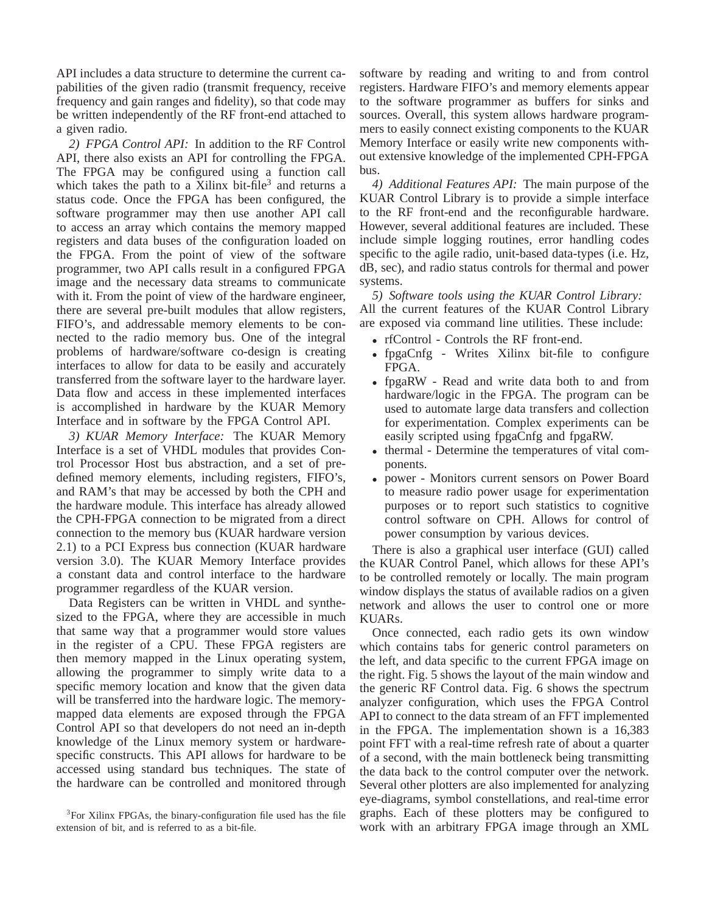API includes a data structure to determine the current capabilities of the given radio (transmit frequency, receive frequency and gain ranges and fidelity), so that code may be written independently of the RF front-end attached to a given radio.

*2) FPGA Control API:* In addition to the RF Control API, there also exists an API for controlling the FPGA. The FPGA may be configured using a function call which takes the path to a Xilinx bit-file<sup>3</sup> and returns a status code. Once the FPGA has been configured, the software programmer may then use another API call to access an array which contains the memory mapped registers and data buses of the configuration loaded on the FPGA. From the point of view of the software programmer, two API calls result in a configured FPGA image and the necessary data streams to communicate with it. From the point of view of the hardware engineer, there are several pre-built modules that allow registers, FIFO's, and addressable memory elements to be connected to the radio memory bus. One of the integral problems of hardware/software co-design is creating interfaces to allow for data to be easily and accurately transferred from the software layer to the hardware layer. Data flow and access in these implemented interfaces is accomplished in hardware by the KUAR Memory Interface and in software by the FPGA Control API.

*3) KUAR Memory Interface:* The KUAR Memory Interface is a set of VHDL modules that provides Control Processor Host bus abstraction, and a set of predefined memory elements, including registers, FIFO's, and RAM's that may be accessed by both the CPH and the hardware module. This interface has already allowed the CPH-FPGA connection to be migrated from a direct connection to the memory bus (KUAR hardware version 2.1) to a PCI Express bus connection (KUAR hardware version 3.0). The KUAR Memory Interface provides a constant data and control interface to the hardware programmer regardless of the KUAR version.

Data Registers can be written in VHDL and synthesized to the FPGA, where they are accessible in much that same way that a programmer would store values in the register of a CPU. These FPGA registers are then memory mapped in the Linux operating system, allowing the programmer to simply write data to a specific memory location and know that the given data will be transferred into the hardware logic. The memorymapped data elements are exposed through the FPGA Control API so that developers do not need an in-depth knowledge of the Linux memory system or hardwarespecific constructs. This API allows for hardware to be accessed using standard bus techniques. The state of the hardware can be controlled and monitored through

software by reading and writing to and from control registers. Hardware FIFO's and memory elements appear to the software programmer as buffers for sinks and sources. Overall, this system allows hardware programmers to easily connect existing components to the KUAR Memory Interface or easily write new components without extensive knowledge of the implemented CPH-FPGA bus.

*4) Additional Features API:* The main purpose of the KUAR Control Library is to provide a simple interface to the RF front-end and the reconfigurable hardware. However, several additional features are included. These include simple logging routines, error handling codes specific to the agile radio, unit-based data-types (i.e. Hz, dB, sec), and radio status controls for thermal and power systems.

*5) Software tools using the KUAR Control Library:* All the current features of the KUAR Control Library are exposed via command line utilities. These include:

- *•* rfControl Controls the RF front-end.
- *•* fpgaCnfg Writes Xilinx bit-file to configure FPGA.
- *•* fpgaRW Read and write data both to and from hardware/logic in the FPGA. The program can be used to automate large data transfers and collection for experimentation. Complex experiments can be easily scripted using fpgaCnfg and fpgaRW.
- *•* thermal Determine the temperatures of vital components.
- *•* power Monitors current sensors on Power Board to measure radio power usage for experimentation purposes or to report such statistics to cognitive control software on CPH. Allows for control of power consumption by various devices.

There is also a graphical user interface (GUI) called the KUAR Control Panel, which allows for these API's to be controlled remotely or locally. The main program window displays the status of available radios on a given network and allows the user to control one or more KUARs.

Once connected, each radio gets its own window which contains tabs for generic control parameters on the left, and data specific to the current FPGA image on the right. Fig. 5 shows the layout of the main window and the generic RF Control data. Fig. 6 shows the spectrum analyzer configuration, which uses the FPGA Control API to connect to the data stream of an FFT implemented in the FPGA. The implementation shown is a 16,383 point FFT with a real-time refresh rate of about a quarter of a second, with the main bottleneck being transmitting the data back to the control computer over the network. Several other plotters are also implemented for analyzing eye-diagrams, symbol constellations, and real-time error graphs. Each of these plotters may be configured to work with an arbitrary FPGA image through an XML

<sup>&</sup>lt;sup>3</sup>For Xilinx FPGAs, the binary-configuration file used has the file extension of bit, and is referred to as a bit-file.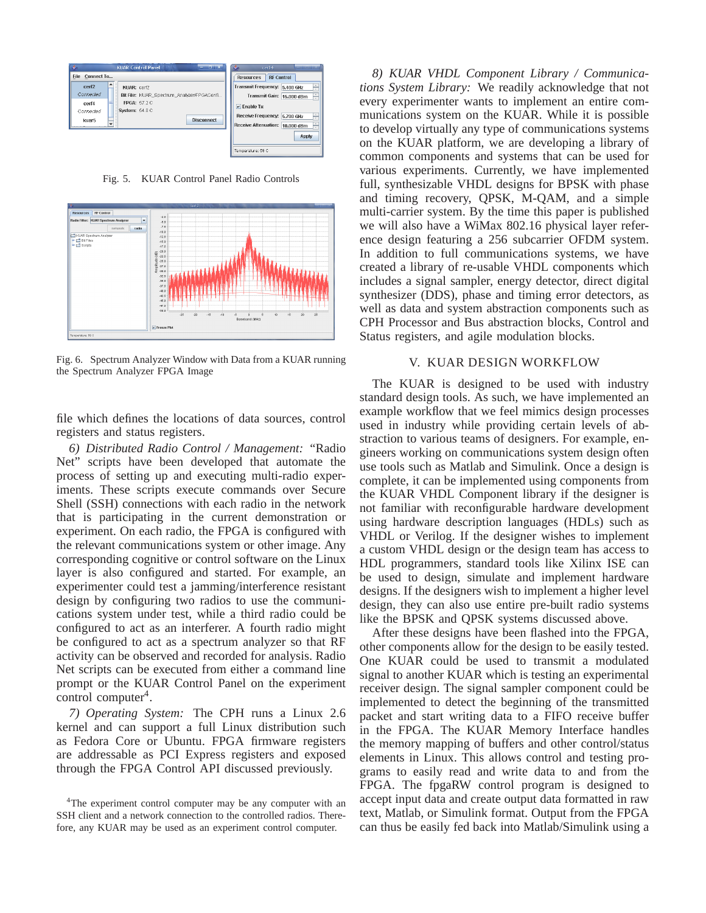

Fig. 5. KUAR Control Panel Radio Controls



Fig. 6. Spectrum Analyzer Window with Data from a KUAR running the Spectrum Analyzer FPGA Image

file which defines the locations of data sources, control registers and status registers.

*6) Distributed Radio Control / Management:* "Radio Net" scripts have been developed that automate the process of setting up and executing multi-radio experiments. These scripts execute commands over Secure Shell (SSH) connections with each radio in the network that is participating in the current demonstration or experiment. On each radio, the FPGA is configured with the relevant communications system or other image. Any corresponding cognitive or control software on the Linux layer is also configured and started. For example, an experimenter could test a jamming/interference resistant design by configuring two radios to use the communications system under test, while a third radio could be configured to act as an interferer. A fourth radio might be configured to act as a spectrum analyzer so that RF activity can be observed and recorded for analysis. Radio Net scripts can be executed from either a command line prompt or the KUAR Control Panel on the experiment control computer<sup>4</sup>.

*7) Operating System:* The CPH runs a Linux 2.6 kernel and can support a full Linux distribution such as Fedora Core or Ubuntu. FPGA firmware registers are addressable as PCI Express registers and exposed through the FPGA Control API discussed previously.

*8) KUAR VHDL Component Library / Communications System Library:* We readily acknowledge that not every experimenter wants to implement an entire communications system on the KUAR. While it is possible to develop virtually any type of communications systems on the KUAR platform, we are developing a library of common components and systems that can be used for various experiments. Currently, we have implemented full, synthesizable VHDL designs for BPSK with phase and timing recovery, QPSK, M-QAM, and a simple multi-carrier system. By the time this paper is published we will also have a WiMax 802.16 physical layer reference design featuring a 256 subcarrier OFDM system. In addition to full communications systems, we have created a library of re-usable VHDL components which includes a signal sampler, energy detector, direct digital synthesizer (DDS), phase and timing error detectors, as well as data and system abstraction components such as CPH Processor and Bus abstraction blocks, Control and Status registers, and agile modulation blocks.

## V. KUAR DESIGN WORKFLOW

The KUAR is designed to be used with industry standard design tools. As such, we have implemented an example workflow that we feel mimics design processes used in industry while providing certain levels of abstraction to various teams of designers. For example, engineers working on communications system design often use tools such as Matlab and Simulink. Once a design is complete, it can be implemented using components from the KUAR VHDL Component library if the designer is not familiar with reconfigurable hardware development using hardware description languages (HDLs) such as VHDL or Verilog. If the designer wishes to implement a custom VHDL design or the design team has access to HDL programmers, standard tools like Xilinx ISE can be used to design, simulate and implement hardware designs. If the designers wish to implement a higher level design, they can also use entire pre-built radio systems like the BPSK and QPSK systems discussed above.

After these designs have been flashed into the FPGA, other components allow for the design to be easily tested. One KUAR could be used to transmit a modulated signal to another KUAR which is testing an experimental receiver design. The signal sampler component could be implemented to detect the beginning of the transmitted packet and start writing data to a FIFO receive buffer in the FPGA. The KUAR Memory Interface handles the memory mapping of buffers and other control/status elements in Linux. This allows control and testing programs to easily read and write data to and from the FPGA. The fpgaRW control program is designed to accept input data and create output data formatted in raw text, Matlab, or Simulink format. Output from the FPGA can thus be easily fed back into Matlab/Simulink using a

<sup>&</sup>lt;sup>4</sup>The experiment control computer may be any computer with an SSH client and a network connection to the controlled radios. Therefore, any KUAR may be used as an experiment control computer.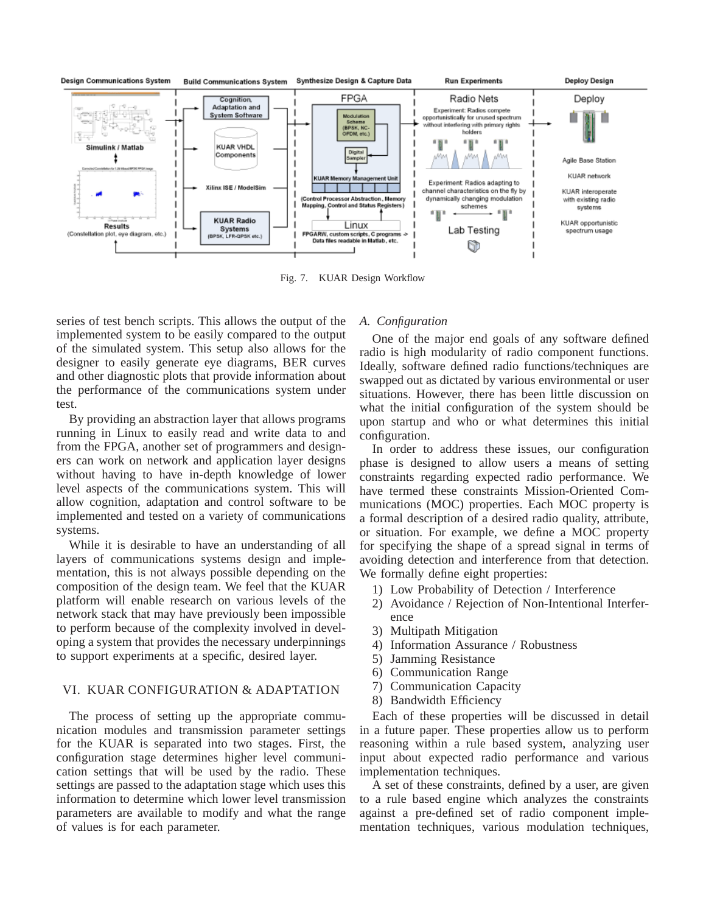

Fig. 7. KUAR Design Workflow

series of test bench scripts. This allows the output of the implemented system to be easily compared to the output of the simulated system. This setup also allows for the designer to easily generate eye diagrams, BER curves and other diagnostic plots that provide information about the performance of the communications system under test.

By providing an abstraction layer that allows programs running in Linux to easily read and write data to and from the FPGA, another set of programmers and designers can work on network and application layer designs without having to have in-depth knowledge of lower level aspects of the communications system. This will allow cognition, adaptation and control software to be implemented and tested on a variety of communications systems.

While it is desirable to have an understanding of all layers of communications systems design and implementation, this is not always possible depending on the composition of the design team. We feel that the KUAR platform will enable research on various levels of the network stack that may have previously been impossible to perform because of the complexity involved in developing a system that provides the necessary underpinnings to support experiments at a specific, desired layer.

## VI. KUAR CONFIGURATION & ADAPTATION

The process of setting up the appropriate communication modules and transmission parameter settings for the KUAR is separated into two stages. First, the configuration stage determines higher level communication settings that will be used by the radio. These settings are passed to the adaptation stage which uses this information to determine which lower level transmission parameters are available to modify and what the range of values is for each parameter.

## *A. Configuration*

One of the major end goals of any software defined radio is high modularity of radio component functions. Ideally, software defined radio functions/techniques are swapped out as dictated by various environmental or user situations. However, there has been little discussion on what the initial configuration of the system should be upon startup and who or what determines this initial configuration.

In order to address these issues, our configuration phase is designed to allow users a means of setting constraints regarding expected radio performance. We have termed these constraints Mission-Oriented Communications (MOC) properties. Each MOC property is a formal description of a desired radio quality, attribute, or situation. For example, we define a MOC property for specifying the shape of a spread signal in terms of avoiding detection and interference from that detection. We formally define eight properties:

- 1) Low Probability of Detection / Interference
- 2) Avoidance / Rejection of Non-Intentional Interference
- 3) Multipath Mitigation
- 4) Information Assurance / Robustness
- 5) Jamming Resistance
- 6) Communication Range
- 7) Communication Capacity
- 8) Bandwidth Efficiency

Each of these properties will be discussed in detail in a future paper. These properties allow us to perform reasoning within a rule based system, analyzing user input about expected radio performance and various implementation techniques.

A set of these constraints, defined by a user, are given to a rule based engine which analyzes the constraints against a pre-defined set of radio component implementation techniques, various modulation techniques,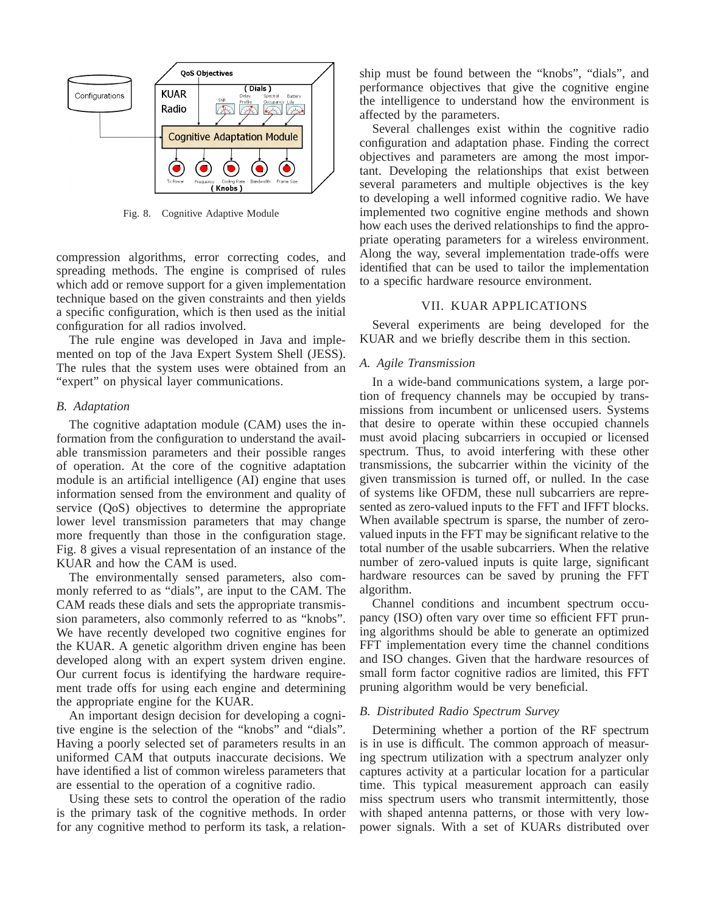

Fig. 8. Cognitive Adaptive Module

compression algorithms, error correcting codes, and spreading methods. The engine is comprised of rules which add or remove support for a given implementation technique based on the given constraints and then yields a specific configuration, which is then used as the initial configuration for all radios involved.

The rule engine was developed in Java and implemented on top of the Java Expert System Shell (JESS). The rules that the system uses were obtained from an "expert" on physical layer communications.

## *B. Adaptation*

The cognitive adaptation module (CAM) uses the information from the configuration to understand the available transmission parameters and their possible ranges of operation. At the core of the cognitive adaptation module is an artificial intelligence (AI) engine that uses information sensed from the environment and quality of service (QoS) objectives to determine the appropriate lower level transmission parameters that may change more frequently than those in the configuration stage. Fig. 8 gives a visual representation of an instance of the KUAR and how the CAM is used.

The environmentally sensed parameters, also commonly referred to as "dials", are input to the CAM. The CAM reads these dials and sets the appropriate transmission parameters, also commonly referred to as "knobs". We have recently developed two cognitive engines for the KUAR. A genetic algorithm driven engine has been developed along with an expert system driven engine. Our current focus is identifying the hardware requirement trade offs for using each engine and determining the appropriate engine for the KUAR.

An important design decision for developing a cognitive engine is the selection of the "knobs" and "dials". Having a poorly selected set of parameters results in an uniformed CAM that outputs inaccurate decisions. We have identified a list of common wireless parameters that are essential to the operation of a cognitive radio.

Using these sets to control the operation of the radio is the primary task of the cognitive methods. In order for any cognitive method to perform its task, a relationship must be found between the "knobs", "dials", and performance objectives that give the cognitive engine the intelligence to understand how the environment is affected by the parameters.

Several challenges exist within the cognitive radio configuration and adaptation phase. Finding the correct objectives and parameters are among the most important. Developing the relationships that exist between several parameters and multiple objectives is the key to developing a well informed cognitive radio. We have implemented two cognitive engine methods and shown how each uses the derived relationships to find the appropriate operating parameters for a wireless environment. Along the way, several implementation trade-offs were identified that can be used to tailor the implementation to a specific hardware resource environment.

## VII. KUAR APPLICATIONS

Several experiments are being developed for the KUAR and we briefly describe them in this section.

## *A. Agile Transmission*

In a wide-band communications system, a large portion of frequency channels may be occupied by transmissions from incumbent or unlicensed users. Systems that desire to operate within these occupied channels must avoid placing subcarriers in occupied or licensed spectrum. Thus, to avoid interfering with these other transmissions, the subcarrier within the vicinity of the given transmission is turned off, or nulled. In the case of systems like OFDM, these null subcarriers are represented as zero-valued inputs to the FFT and IFFT blocks. When available spectrum is sparse, the number of zerovalued inputs in the FFT may be significant relative to the total number of the usable subcarriers. When the relative number of zero-valued inputs is quite large, significant hardware resources can be saved by pruning the FFT algorithm.

Channel conditions and incumbent spectrum occupancy (ISO) often vary over time so efficient FFT pruning algorithms should be able to generate an optimized FFT implementation every time the channel conditions and ISO changes. Given that the hardware resources of small form factor cognitive radios are limited, this FFT pruning algorithm would be very beneficial.

## *B. Distributed Radio Spectrum Survey*

Determining whether a portion of the RF spectrum is in use is difficult. The common approach of measuring spectrum utilization with a spectrum analyzer only captures activity at a particular location for a particular time. This typical measurement approach can easily miss spectrum users who transmit intermittently, those with shaped antenna patterns, or those with very lowpower signals. With a set of KUARs distributed over